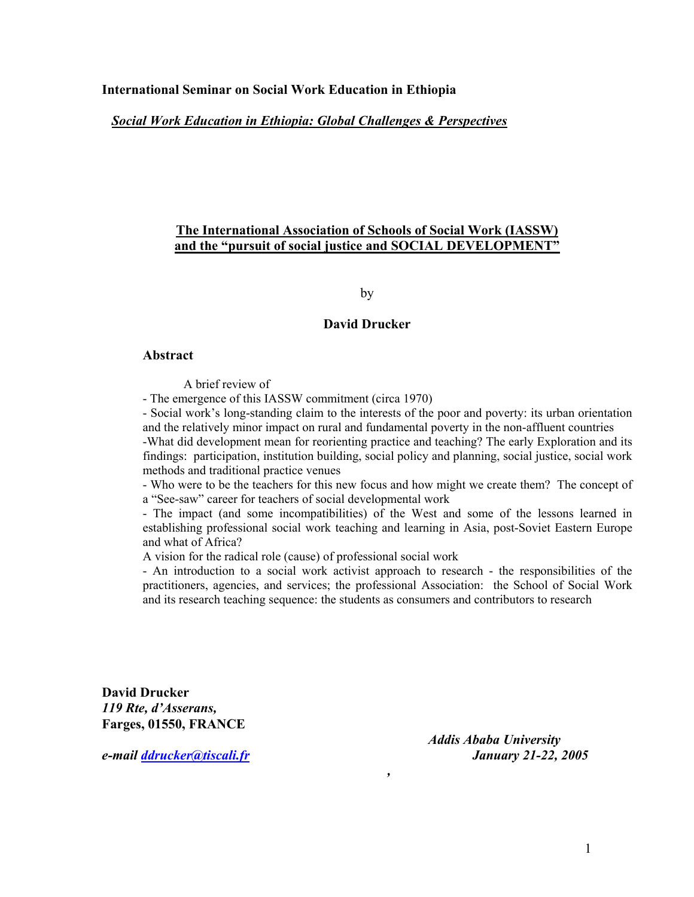#### **International Seminar on Social Work Education in Ethiopia**

## *Social Work Education in Ethiopia: Global Challenges & Perspectives*

# **The International Association of Schools of Social Work (IASSW) and the "pursuit of social justice and SOCIAL DEVELOPMENT"**

by

### **David Drucker**

#### **Abstract**

A brief review of

- The emergence of this IASSW commitment (circa 1970)

- Social work's long-standing claim to the interests of the poor and poverty: its urban orientation and the relatively minor impact on rural and fundamental poverty in the non-affluent countries

-What did development mean for reorienting practice and teaching? The early Exploration and its findings: participation, institution building, social policy and planning, social justice, social work methods and traditional practice venues

- Who were to be the teachers for this new focus and how might we create them? The concept of a "See-saw" career for teachers of social developmental work

- The impact (and some incompatibilities) of the West and some of the lessons learned in establishing professional social work teaching and learning in Asia, post-Soviet Eastern Europe and what of Africa?

A vision for the radical role (cause) of professional social work

- An introduction to a social work activist approach to research - the responsibilities of the practitioners, agencies, and services; the professional Association: the School of Social Work and its research teaching sequence: the students as consumers and contributors to research

*,*

**David Drucker**  *119 Rte, d'Asserans,*  **Farges, 01550, FRANCE** 

*Addis Ababa University e-mail [ddrucker@tiscali.fr](mailto:ddrucker@tiscali.fr) January 21-22, 2005*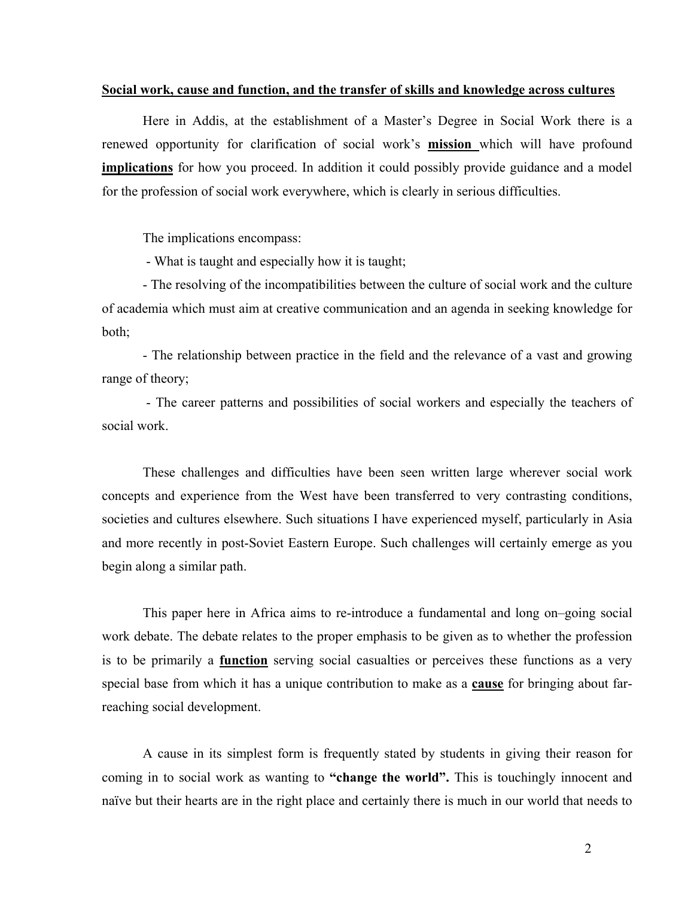#### **Social work, cause and function, and the transfer of skills and knowledge across cultures**

Here in Addis, at the establishment of a Master's Degree in Social Work there is a renewed opportunity for clarification of social work's **mission** which will have profound **implications** for how you proceed. In addition it could possibly provide guidance and a model for the profession of social work everywhere, which is clearly in serious difficulties.

The implications encompass:

- What is taught and especially how it is taught;

- The resolving of the incompatibilities between the culture of social work and the culture of academia which must aim at creative communication and an agenda in seeking knowledge for both;

- The relationship between practice in the field and the relevance of a vast and growing range of theory;

- The career patterns and possibilities of social workers and especially the teachers of social work.

These challenges and difficulties have been seen written large wherever social work concepts and experience from the West have been transferred to very contrasting conditions, societies and cultures elsewhere. Such situations I have experienced myself, particularly in Asia and more recently in post-Soviet Eastern Europe. Such challenges will certainly emerge as you begin along a similar path.

This paper here in Africa aims to re-introduce a fundamental and long on–going social work debate. The debate relates to the proper emphasis to be given as to whether the profession is to be primarily a **function** serving social casualties or perceives these functions as a very special base from which it has a unique contribution to make as a **cause** for bringing about farreaching social development.

A cause in its simplest form is frequently stated by students in giving their reason for coming in to social work as wanting to **"change the world".** This is touchingly innocent and naïve but their hearts are in the right place and certainly there is much in our world that needs to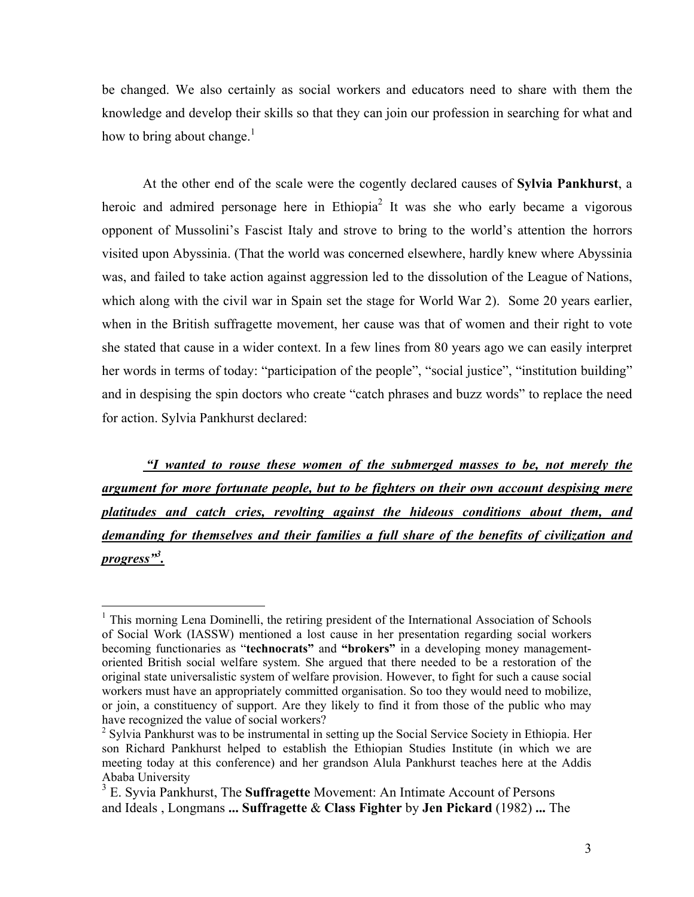<span id="page-2-2"></span>be changed. We also certainly as social workers and educators need to share with them the knowledge and develop their skills so that they can join our profession in searching for what and how to bring about change. $<sup>1</sup>$  $<sup>1</sup>$  $<sup>1</sup>$ </sup>

At the other end of the scale were the cogently declared causes of **Sylvia Pankhurst**, a heroic and admired personage here in Ethiopia<sup>[2](#page-2-1)</sup> It was she who early became a vigorous opponent of Mussolini's Fascist Italy and strove to bring to the world's attention the horrors visited upon Abyssinia. (That the world was concerned elsewhere, hardly knew where Abyssinia was, and failed to take action against aggression led to the dissolution of the League of Nations, which along with the civil war in Spain set the stage for World War 2). Some 20 years earlier, when in the British suffragette movement, her cause was that of women and their right to vote she stated that cause in a wider context. In a few lines from 80 years ago we can easily interpret her words in terms of today: "participation of the people", "social justice", "institution building" and in despising the spin doctors who create "catch phrases and buzz words" to replace the need for action. Sylvia Pankhurst declared:

*"I wanted to rouse these women of the submerged masses to be, not merely the argument for more fortunate people, but to be fighters on their own account despising mere platitudes and catch cries, revolting against the hideous conditions about them, and demanding for themselves and their families a full share of the benefits of civilization and progress"[3](#page-2-2) .*

<span id="page-2-0"></span><sup>&</sup>lt;sup>1</sup> This morning Lena Dominelli, the retiring president of the International Association of Schools of Social Work (IASSW) mentioned a lost cause in her presentation regarding social workers becoming functionaries as "**technocrats"** and **"brokers"** in a developing money managementoriented British social welfare system. She argued that there needed to be a restoration of the original state universalistic system of welfare provision. However, to fight for such a cause social workers must have an appropriately committed organisation. So too they would need to mobilize, or join, a constituency of support. Are they likely to find it from those of the public who may have recognized the value of social workers?

<span id="page-2-1"></span><sup>&</sup>lt;sup>2</sup> Sylvia Pankhurst was to be instrumental in setting up the Social Service Society in Ethiopia. Her son Richard Pankhurst helped to establish the Ethiopian Studies Institute (in which we are meeting today at this conference) and her grandson Alula Pankhurst teaches here at the Addis Ababa University

<sup>3</sup> E. Syvia Pankhurst, The **Suffragette** Movement: An Intimate Account of Persons and Ideals , Longmans **... Suffragette** & **Class Fighter** by **Jen Pickard** (1982) **...** The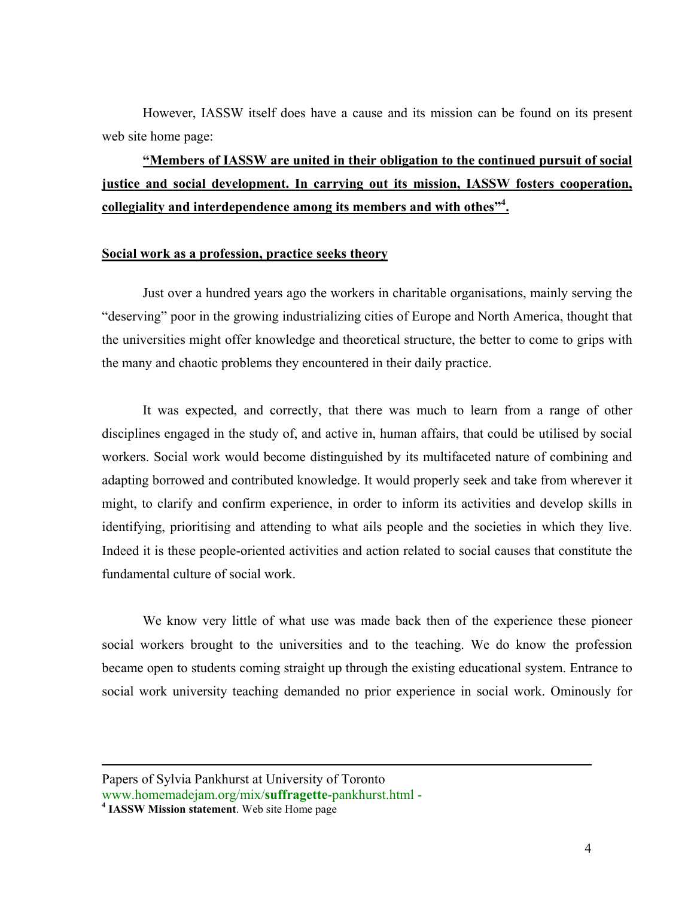However, IASSW itself does have a cause and its mission can be found on its present web site home page:

**"Members of IASSW are united in their obligation to the continued pursuit of social justice and social development. In carrying out its mission, IASSW fosters cooperation, collegiality and interdependence among its members and with othes"<sup>4</sup> [.](#page-3-0)**

#### **Social work as a profession, practice seeks theory**

Just over a hundred years ago the workers in charitable organisations, mainly serving the "deserving" poor in the growing industrializing cities of Europe and North America, thought that the universities might offer knowledge and theoretical structure, the better to come to grips with the many and chaotic problems they encountered in their daily practice.

It was expected, and correctly, that there was much to learn from a range of other disciplines engaged in the study of, and active in, human affairs, that could be utilised by social workers. Social work would become distinguished by its multifaceted nature of combining and adapting borrowed and contributed knowledge. It would properly seek and take from wherever it might, to clarify and confirm experience, in order to inform its activities and develop skills in identifying, prioritising and attending to what ails people and the societies in which they live. Indeed it is these people-oriented activities and action related to social causes that constitute the fundamental culture of social work.

We know very little of what use was made back then of the experience these pioneer social workers brought to the universities and to the teaching. We do know the profession became open to students coming straight up through the existing educational system. Entrance to social work university teaching demanded no prior experience in social work. Ominously for

<span id="page-3-0"></span>Papers of Sylvia Pankhurst at University of Toronto www.homemadejam.org/mix/**suffragette**-pankhurst.html - **<sup>4</sup> IASSW Mission statement**. Web site Home page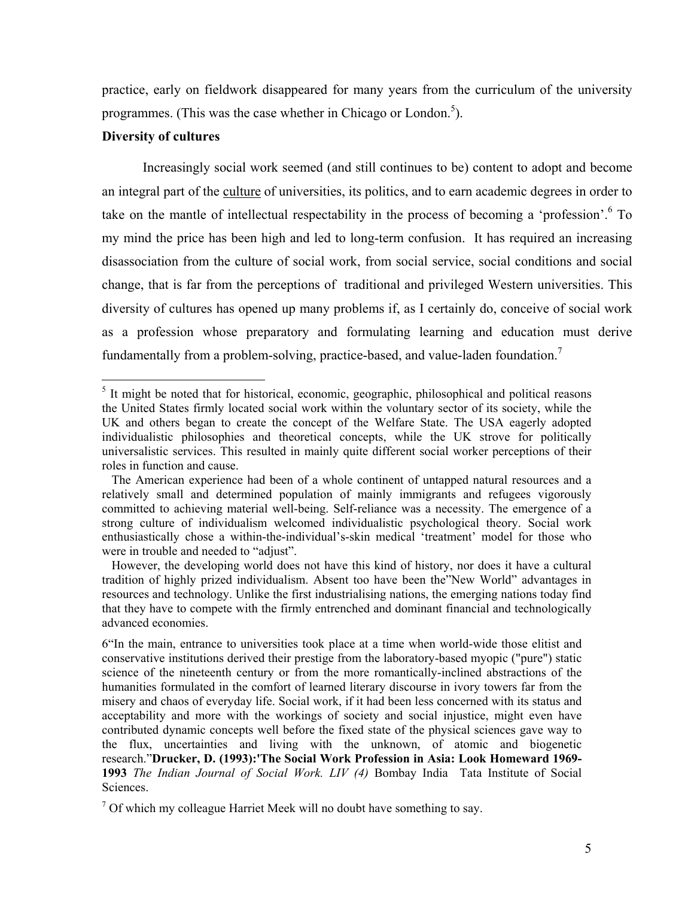practice, early on fieldwork disappeared for many years from the curriculum of the university programmes. (This was the case whether in Chicago or London.<sup>[5](#page-4-0)</sup>).

# **Diversity of cultures**

1

Increasingly social work seemed (and still continues to be) content to adopt and become an integral part of the culture of universities, its politics, and to earn academic degrees in order to take on the mantle of intellectual respectability in the process of becoming a 'profession'. <sup>6</sup> To my mind the price has been high and led to long-term confusion. It has required an increasing disassociation from the culture of social work, from social service, social conditions and social change, that is far from the perceptions of traditional and privileged Western universities. This diversity of cultures has opened up many problems if, as I certainly do, conceive of social work as a profession whose preparatory and formulating learning and education must derive fundamentally from a problem-solving, practice-based, and value-laden foundation.<sup>[7](#page-4-2)</sup>

<span id="page-4-0"></span><sup>&</sup>lt;sup>5</sup> It might be noted that for historical, economic, geographic, philosophical and political reasons the United States firmly located social work within the voluntary sector of its society, while the UK and others began to create the concept of the Welfare State. The USA eagerly adopted individualistic philosophies and theoretical concepts, while the UK strove for politically universalistic services. This resulted in mainly quite different social worker perceptions of their roles in function and cause.

The American experience had been of a whole continent of untapped natural resources and a relatively small and determined population of mainly immigrants and refugees vigorously committed to achieving material well-being. Self-reliance was a necessity. The emergence of a strong culture of individualism welcomed individualistic psychological theory. Social work enthusiastically chose a within-the-individual's-skin medical 'treatment' model for those who were in trouble and needed to "adjust".

However, the developing world does not have this kind of history, nor does it have a cultural tradition of highly prized individualism. Absent too have been the"New World" advantages in resources and technology. Unlike the first industrialising nations, the emerging nations today find that they have to compete with the firmly entrenched and dominant financial and technologically advanced economies.

<span id="page-4-1"></span><sup>6&</sup>quot;In the main, entrance to universities took place at a time when world-wide those elitist and conservative institutions derived their prestige from the laboratory-based myopic ("pure") static science of the nineteenth century or from the more romantically-inclined abstractions of the humanities formulated in the comfort of learned literary discourse in ivory towers far from the misery and chaos of everyday life. Social work, if it had been less concerned with its status and acceptability and more with the workings of society and social injustice, might even have contributed dynamic concepts well before the fixed state of the physical sciences gave way to the flux, uncertainties and living with the unknown, of atomic and biogenetic research."**Drucker, D. (1993):'The Social Work Profession in Asia: Look Homeward 1969- 1993** *The Indian Journal of Social Work. LIV (4)* Bombay India Tata Institute of Social **Sciences** 

<span id="page-4-2"></span> $7$  Of which my colleague Harriet Meek will no doubt have something to say.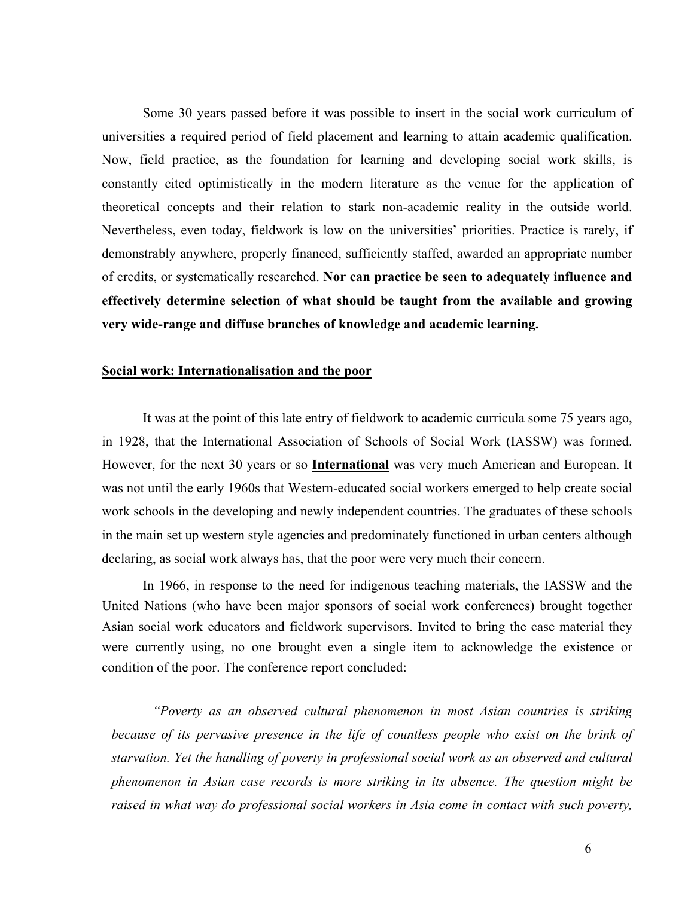Some 30 years passed before it was possible to insert in the social work curriculum of universities a required period of field placement and learning to attain academic qualification. Now, field practice, as the foundation for learning and developing social work skills, is constantly cited optimistically in the modern literature as the venue for the application of theoretical concepts and their relation to stark non-academic reality in the outside world. Nevertheless, even today, fieldwork is low on the universities' priorities. Practice is rarely, if demonstrably anywhere, properly financed, sufficiently staffed, awarded an appropriate number of credits, or systematically researched. **Nor can practice be seen to adequately influence and effectively determine selection of what should be taught from the available and growing very wide-range and diffuse branches of knowledge and academic learning.** 

# **Social work: Internationalisation and the poor**

It was at the point of this late entry of fieldwork to academic curricula some 75 years ago, in 1928, that the International Association of Schools of Social Work (IASSW) was formed. However, for the next 30 years or so **International** was very much American and European. It was not until the early 1960s that Western-educated social workers emerged to help create social work schools in the developing and newly independent countries. The graduates of these schools in the main set up western style agencies and predominately functioned in urban centers although declaring, as social work always has, that the poor were very much their concern.

In 1966, in response to the need for indigenous teaching materials, the IASSW and the United Nations (who have been major sponsors of social work conferences) brought together Asian social work educators and fieldwork supervisors. Invited to bring the case material they were currently using, no one brought even a single item to acknowledge the existence or condition of the poor. The conference report concluded:

*"Poverty as an observed cultural phenomenon in most Asian countries is striking because of its pervasive presence in the life of countless people who exist on the brink of starvation. Yet the handling of poverty in professional social work as an observed and cultural phenomenon in Asian case records is more striking in its absence. The question might be raised in what way do professional social workers in Asia come in contact with such poverty,*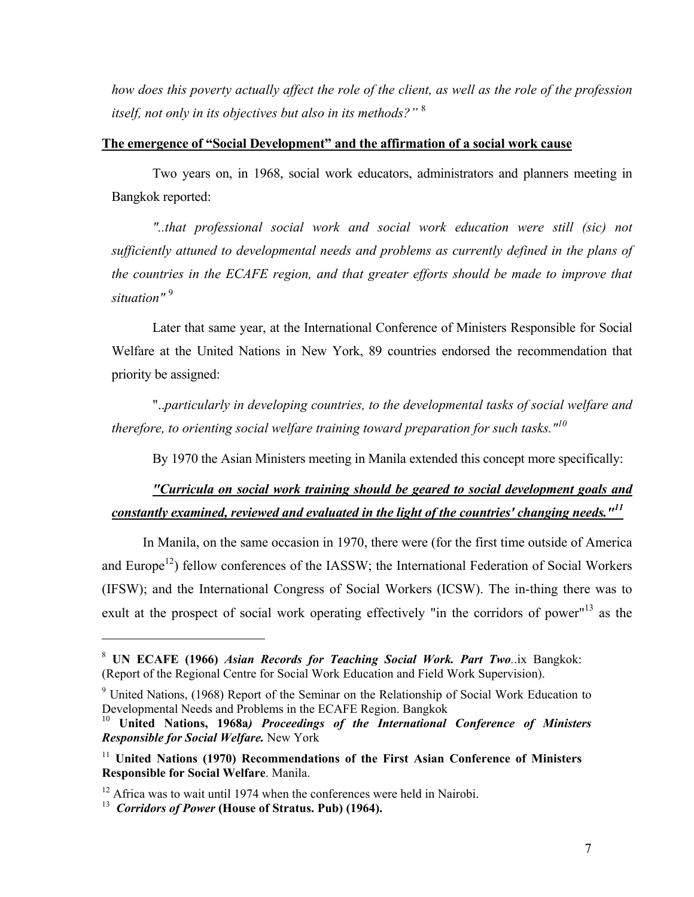<span id="page-6-5"></span>*how does this poverty actually affect the role of the client, as well as the role of the profession itself, not only in its objectives but also in its methods?"* <sup>8</sup> 

# **The emergence of "Social Development" and the affirmation of a social work cause**

Two years on, in 1968, social work educators, administrators and planners meeting in Bangkok reported:

*"..that professional social work and social work education were still (sic) not sufficiently attuned to developmental needs and problems as currently defined in the plans of the countries in the ECAFE region, and that greater efforts should be made to improve that situation"* [9](#page-6-1)

Later that same year, at the International Conference of Ministers Responsible for Social Welfare at the United Nations in New York, 89 countries endorsed the recommendation that priority be assigned:

"..*particularly in developing countries, to the developmental tasks of social welfare and therefore, to orienting social welfare training toward preparation for such tasks."[10](#page-6-2)*

By 1970 the Asian Ministers meeting in Manila extended this concept more specifically:

# *"Curricula on social work training should be geared to social development goals and constantly examined, reviewed and evaluated in the light of the countries' changing needs."[11](#page-6-3)*

In Manila, on the same occasion in 1970, there were (for the first time outside of America and Europe<sup>12</sup>) fellow conferences of the IASSW; the International Federation of Social Workers (IFSW); and the International Congress of Social Workers (ICSW). The in-thing there was to exult at the prospect of social work operating effectively "in the corridors of power"<sup>13</sup> as the

1

<span id="page-6-0"></span><sup>8</sup> **UN ECAFE (1966)** *Asian Records for Teaching Social Work. Part Two.*.ix Bangkok: (Report of the Regional Centre for Social Work Education and Field Work Supervision).

<span id="page-6-1"></span><sup>9</sup> United Nations, (1968) Report of the Seminar on the Relationship of Social Work Education to Developmental Needs and Problems in the ECAFE Region. Bangkok

<span id="page-6-2"></span><sup>10</sup> **United Nations, 1968a***) Proceedings of the International Conference of Ministers Responsible for Social Welfare.* New York

<span id="page-6-3"></span><sup>&</sup>lt;sup>11</sup> United Nations (1970) Recommendations of the First Asian Conference of Ministers **Responsible for Social Welfare**. Manila.

<span id="page-6-4"></span><sup>&</sup>lt;sup>12</sup> Africa was to wait until 1974 when the conferences were held in Nairobi.

<sup>13</sup> *Corridors of Power* **(House of Stratus. Pub) (1964).**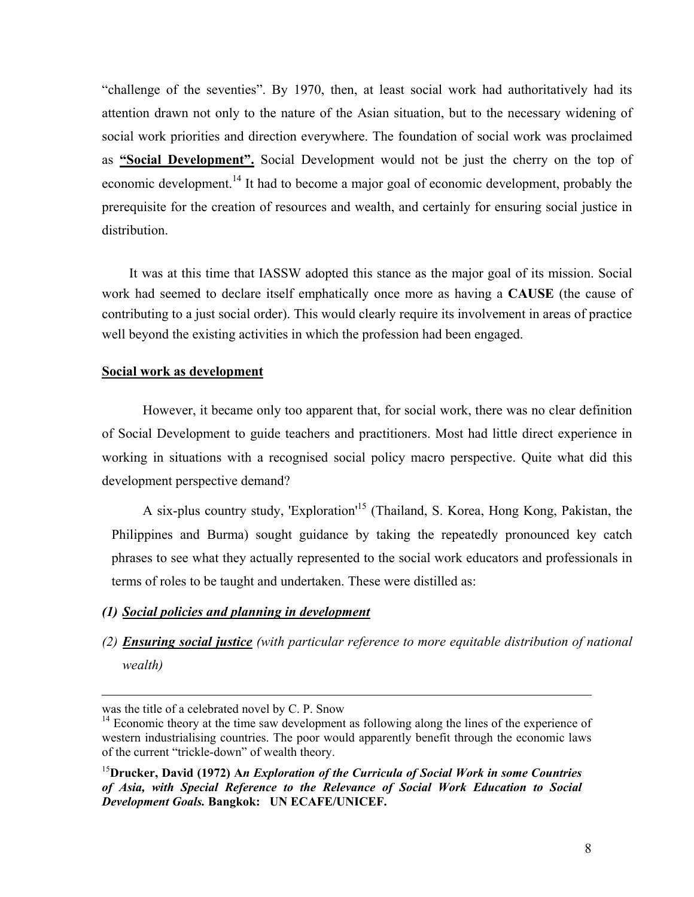"challenge of the seventies". By 1970, then, at least social work had authoritatively had its attention drawn not only to the nature of the Asian situation, but to the necessary widening of social work priorities and direction everywhere. The foundation of social work was proclaimed as **"Social Development".** Social Development would not be just the cherry on the top of economic development.<sup>14</sup> It had to become a major goal of economic development, probably the prerequisite for the creation of resources and wealth, and certainly for ensuring social justice in distribution.

 It was at this time that IASSW adopted this stance as the major goal of its mission. Social work had seemed to declare itself emphatically once more as having a **CAUSE** (the cause of contributing to a just social order). This would clearly require its involvement in areas of practice well beyond the existing activities in which the profession had been engaged.

# **Social work as development**

However, it became only too apparent that, for social work, there was no clear definition of Social Development to guide teachers and practitioners. Most had little direct experience in working in situations with a recognised social policy macro perspective. Quite what did this development perspective demand?

A six-plus country study, 'Exploration'[15](#page-7-1) (Thailand, S. Korea, Hong Kong, Pakistan, the Philippines and Burma) sought guidance by taking the repeatedly pronounced key catch phrases to see what they actually represented to the social work educators and professionals in terms of roles to be taught and undertaken. These were distilled as:

# *(1) Social policies and planning in development*

*(2) Ensuring social justice (with particular reference to more equitable distribution of national wealth)*

was the title of a celebrated novel by C. P. Snow

<span id="page-7-0"></span> $14$  Economic theory at the time saw development as following along the lines of the experience of western industrialising countries. The poor would apparently benefit through the economic laws of the current "trickle-down" of wealth theory.

<span id="page-7-1"></span><sup>15</sup>**Drucker, David (1972) A***n Exploration of the Curricula of Social Work in some Countries of Asia, with Special Reference to the Relevance of Social Work Education to Social Development Goals.* **Bangkok: UN ECAFE/UNICEF.**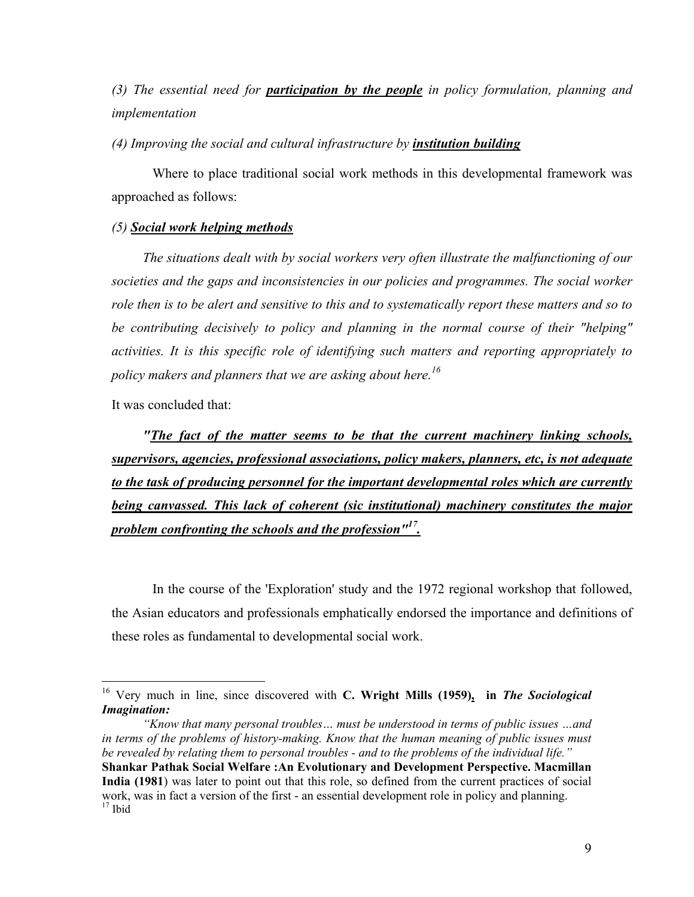*(3) The essential need for participation by the people in policy formulation, planning and implementation* 

*(4) Improving the social and cultural infrastructure by institution building*

Where to place traditional social work methods in this developmental framework was approached as follows:

## *(5) Social work helping methods*

*The situations dealt with by social workers very often illustrate the malfunctioning of our societies and the gaps and inconsistencies in our policies and programmes. The social worker role then is to be alert and sensitive to this and to systematically report these matters and so to be contributing decisively to policy and planning in the normal course of their "helping" activities. It is this specific role of identifying such matters and reporting appropriately to policy makers and planners that we are asking about here[.16](#page-8-0)*

It was concluded that:

1

*"The fact of the matter seems to be that the current machinery linking schools, supervisors, agencies, professional associations, policy makers, planners, etc, is not adequate to the task of producing personnel for the important developmental roles which are currently being canvassed. This lack of coherent (sic institutional) machinery constitutes the major problem confronting the schools and the profession["17.](#page-8-1)*

In the course of the 'Exploration' study and the 1972 regional workshop that followed, the Asian educators and professionals emphatically endorsed the importance and definitions of these roles as fundamental to developmental social work.

<span id="page-8-1"></span>*"Know that many personal troubles… must be understood in terms of public issues …and in terms of the problems of history-making. Know that the human meaning of public issues must be revealed by relating them to personal troubles - and to the problems of the individual life."*  **Shankar Pathak Social Welfare :An Evolutionary and Development Perspective. Macmillan India (1981**) was later to point out that this role, so defined from the current practices of social work, was in fact a version of the first - an essential development role in policy and planning.<br><sup>17</sup> Ibid

<span id="page-8-0"></span><sup>16</sup> Very much in line, since discovered with **C. Wright Mills (1959), in** *The Sociological Imagination:*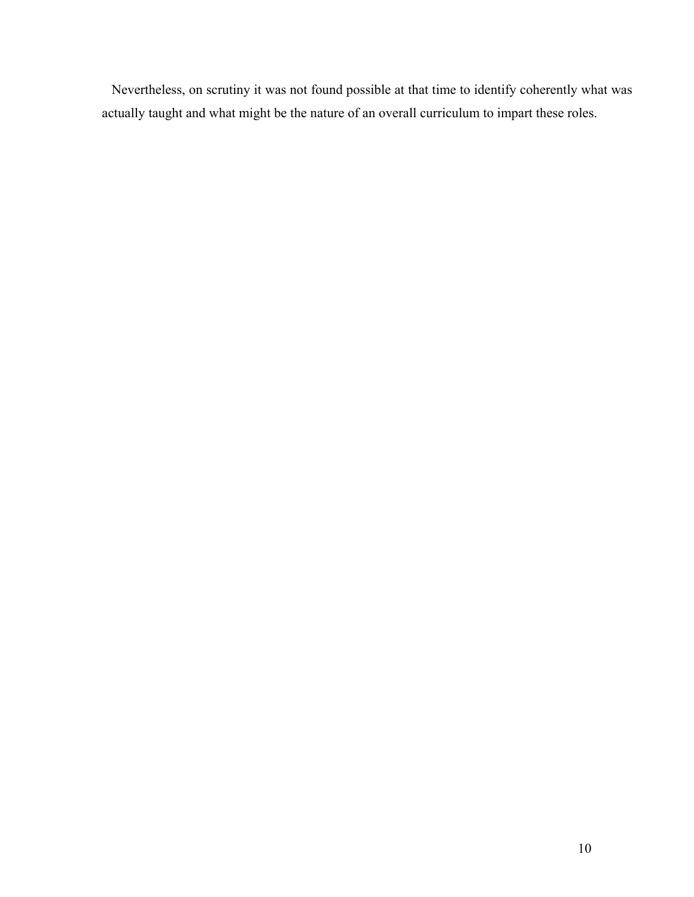Nevertheless, on scrutiny it was not found possible at that time to identify coherently what was actually taught and what might be the nature of an overall curriculum to impart these roles.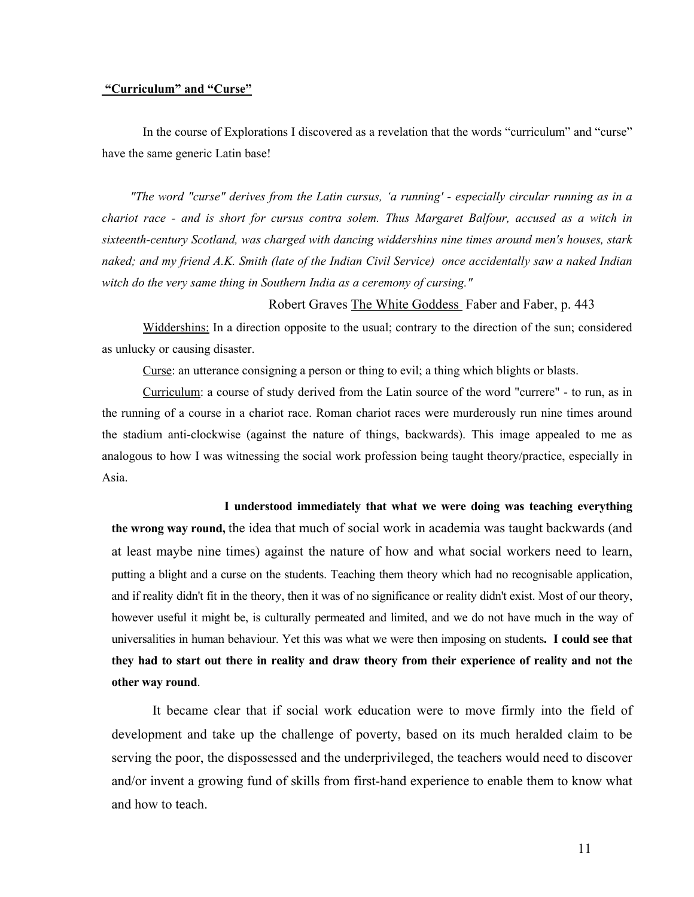#### **"Curriculum" and "Curse"**

In the course of Explorations I discovered as a revelation that the words "curriculum" and "curse" have the same generic Latin base!

 *"The word "curse" derives from the Latin cursus, 'a running' - especially circular running as in a chariot race - and is short for cursus contra solem. Thus Margaret Balfour, accused as a witch in sixteenth-century Scotland, was charged with dancing widdershins nine times around men's houses, stark naked; and my friend A.K. Smith (late of the Indian Civil Service) once accidentally saw a naked Indian witch do the very same thing in Southern India as a ceremony of cursing."* 

#### Robert Graves The White Goddess Faber and Faber, p. 443

Widdershins: In a direction opposite to the usual; contrary to the direction of the sun; considered as unlucky or causing disaster.

Curse: an utterance consigning a person or thing to evil; a thing which blights or blasts.

Curriculum: a course of study derived from the Latin source of the word "currere" - to run, as in the running of a course in a chariot race. Roman chariot races were murderously run nine times around the stadium anti-clockwise (against the nature of things, backwards). This image appealed to me as analogous to how I was witnessing the social work profession being taught theory/practice, especially in Asia.

#### **I understood immediately that what we were doing was teaching everything**

**the wrong way round,** the idea that much of social work in academia was taught backwards (and at least maybe nine times) against the nature of how and what social workers need to learn, putting a blight and a curse on the students. Teaching them theory which had no recognisable application, and if reality didn't fit in the theory, then it was of no significance or reality didn't exist. Most of our theory, however useful it might be, is culturally permeated and limited, and we do not have much in the way of universalities in human behaviour. Yet this was what we were then imposing on students**. I could see that they had to start out there in reality and draw theory from their experience of reality and not the other way round**.

It became clear that if social work education were to move firmly into the field of development and take up the challenge of poverty, based on its much heralded claim to be serving the poor, the dispossessed and the underprivileged, the teachers would need to discover and/or invent a growing fund of skills from first-hand experience to enable them to know what and how to teach.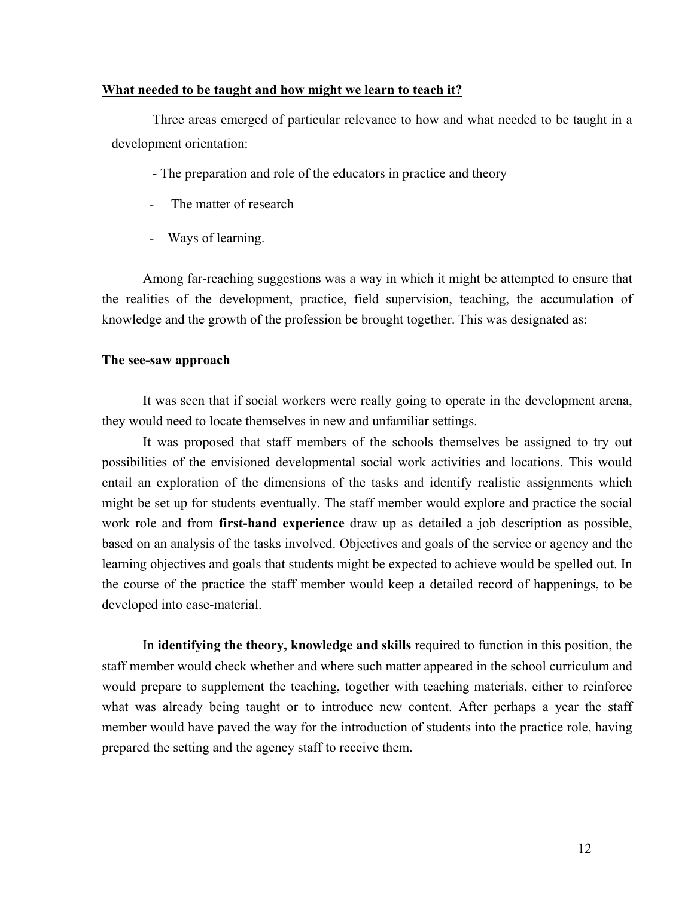# **What needed to be taught and how might we learn to teach it?**

Three areas emerged of particular relevance to how and what needed to be taught in a development orientation:

- The preparation and role of the educators in practice and theory

- The matter of research
- Ways of learning.

Among far-reaching suggestions was a way in which it might be attempted to ensure that the realities of the development, practice, field supervision, teaching, the accumulation of knowledge and the growth of the profession be brought together. This was designated as:

#### **The see-saw approach**

It was seen that if social workers were really going to operate in the development arena, they would need to locate themselves in new and unfamiliar settings.

It was proposed that staff members of the schools themselves be assigned to try out possibilities of the envisioned developmental social work activities and locations. This would entail an exploration of the dimensions of the tasks and identify realistic assignments which might be set up for students eventually. The staff member would explore and practice the social work role and from **first-hand experience** draw up as detailed a job description as possible, based on an analysis of the tasks involved. Objectives and goals of the service or agency and the learning objectives and goals that students might be expected to achieve would be spelled out. In the course of the practice the staff member would keep a detailed record of happenings, to be developed into case-material.

 In **identifying the theory, knowledge and skills** required to function in this position, the staff member would check whether and where such matter appeared in the school curriculum and would prepare to supplement the teaching, together with teaching materials, either to reinforce what was already being taught or to introduce new content. After perhaps a year the staff member would have paved the way for the introduction of students into the practice role, having prepared the setting and the agency staff to receive them.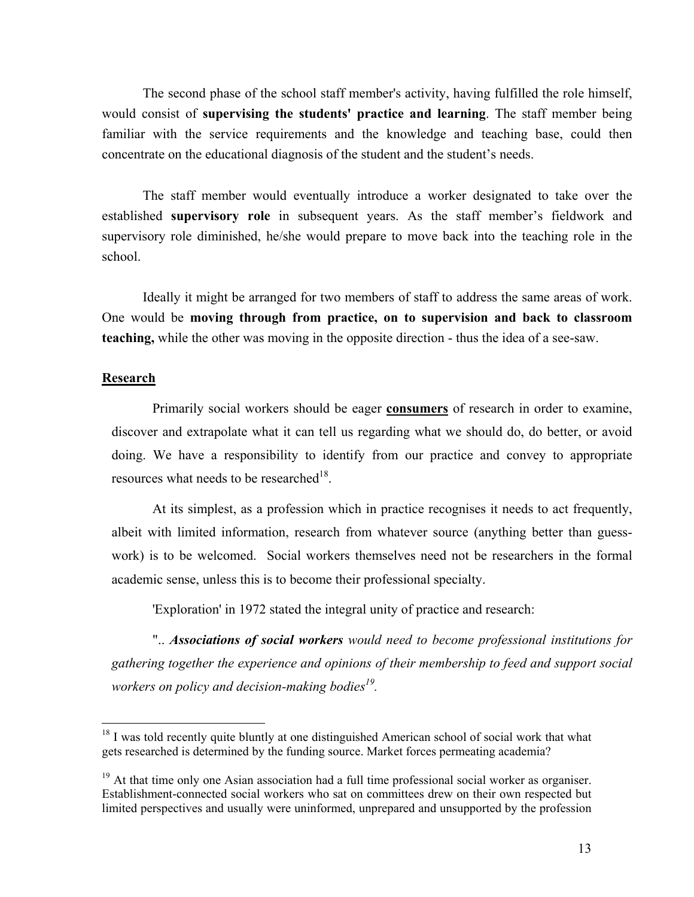<span id="page-12-1"></span>The second phase of the school staff member's activity, having fulfilled the role himself, would consist of **supervising the students' practice and learning**. The staff member being familiar with the service requirements and the knowledge and teaching base, could then concentrate on the educational diagnosis of the student and the student's needs.

The staff member would eventually introduce a worker designated to take over the established **supervisory role** in subsequent years. As the staff member's fieldwork and supervisory role diminished, he/she would prepare to move back into the teaching role in the school.

Ideally it might be arranged for two members of staff to address the same areas of work. One would be **moving through from practice, on to supervision and back to classroom teaching,** while the other was moving in the opposite direction - thus the idea of a see-saw.

# **Research**

 $\overline{a}$ 

Primarily social workers should be eager **consumers** of research in order to examine, discover and extrapolate what it can tell us regarding what we should do, do better, or avoid doing. We have a responsibility to identify from our practice and convey to appropriate resources what needs to be researched<sup>18</sup>.

At its simplest, as a profession which in practice recognises it needs to act frequently, albeit with limited information, research from whatever source (anything better than guesswork) is to be welcomed. Social workers themselves need not be researchers in the formal academic sense, unless this is to become their professional specialty.

'Exploration' in 1972 stated the integral unity of practice and research:

".. *Associations of social workers would need to become professional institutions for gathering together the experience and opinions of their membership to feed and support social workers on policy and decision-making bodies[19.](#page-12-1)* 

<span id="page-12-0"></span> $18$  I was told recently quite bluntly at one distinguished American school of social work that what gets researched is determined by the funding source. Market forces permeating academia?

<sup>&</sup>lt;sup>19</sup> At that time only one Asian association had a full time professional social worker as organiser. Establishment-connected social workers who sat on committees drew on their own respected but limited perspectives and usually were uninformed, unprepared and unsupported by the profession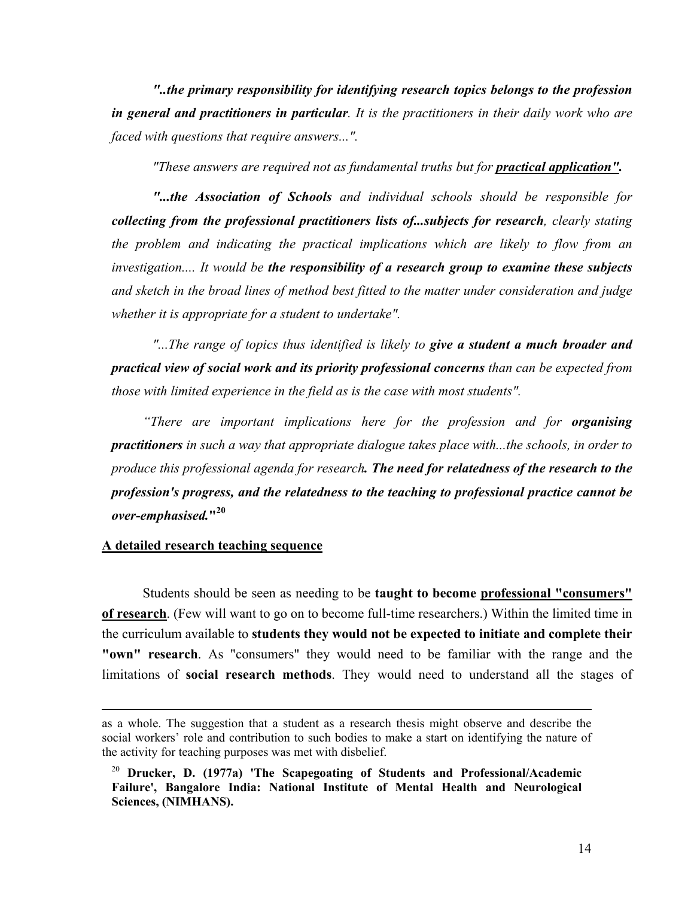*"..the primary responsibility for identifying research topics belongs to the profession in general and practitioners in particular. It is the practitioners in their daily work who are faced with questions that require answers...".* 

*"These answers are required not as fundamental truths but for practical application".* 

*"...the Association of Schools and individual schools should be responsible for collecting from the professional practitioners lists of...subjects for research, clearly stating the problem and indicating the practical implications which are likely to flow from an investigation.... It would be the responsibility of a research group to examine these subjects and sketch in the broad lines of method best fitted to the matter under consideration and judge whether it is appropriate for a student to undertake".*

*"...The range of topics thus identified is likely to give a student a much broader and practical view of social work and its priority professional concerns than can be expected from those with limited experience in the field as is the case with most students".* 

*"There are important implications here for the profession and for organising practitioners in such a way that appropriate dialogue takes place with...the schools, in order to produce this professional agenda for research. The need for relatedness of the research to the profession's progress, and the relatedness to the teaching to professional practice cannot be over-emphasised.***"[20](#page-13-0)**

#### **A detailed research teaching sequence**

1

Students should be seen as needing to be **taught to become professional "consumers" of research**. (Few will want to go on to become full-time researchers.) Within the limited time in the curriculum available to **students they would not be expected to initiate and complete their "own" research**. As "consumers" they would need to be familiar with the range and the limitations of **social research methods**. They would need to understand all the stages of

as a whole. The suggestion that a student as a research thesis might observe and describe the social workers' role and contribution to such bodies to make a start on identifying the nature of the activity for teaching purposes was met with disbelief.

<span id="page-13-0"></span><sup>20</sup> **Drucker, D. (1977a) 'The Scapegoating of Students and Professional/Academic Failure', Bangalore India: National Institute of Mental Health and Neurological Sciences, (NIMHANS).**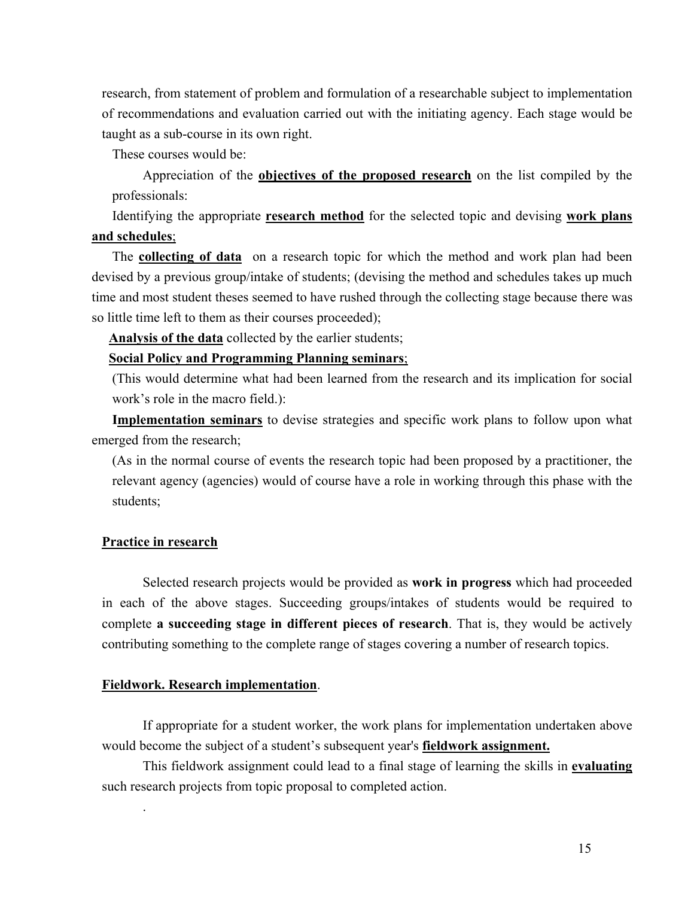research, from statement of problem and formulation of a researchable subject to implementation of recommendations and evaluation carried out with the initiating agency. Each stage would be taught as a sub-course in its own right.

These courses would be:

Appreciation of the **objectives of the proposed research** on the list compiled by the professionals:

Identifying the appropriate **research method** for the selected topic and devising **work plans and schedules**;

The **collecting of data** on a research topic for which the method and work plan had been devised by a previous group/intake of students; (devising the method and schedules takes up much time and most student theses seemed to have rushed through the collecting stage because there was so little time left to them as their courses proceeded);

**Analysis of the data** collected by the earlier students;

# **Social Policy and Programming Planning seminars**;

(This would determine what had been learned from the research and its implication for social work's role in the macro field.):

**Implementation seminars** to devise strategies and specific work plans to follow upon what emerged from the research;

(As in the normal course of events the research topic had been proposed by a practitioner, the relevant agency (agencies) would of course have a role in working through this phase with the students;

# **Practice in research**

.

Selected research projects would be provided as **work in progress** which had proceeded in each of the above stages. Succeeding groups/intakes of students would be required to complete **a succeeding stage in different pieces of research**. That is, they would be actively contributing something to the complete range of stages covering a number of research topics.

## **Fieldwork. Research implementation**.

If appropriate for a student worker, the work plans for implementation undertaken above would become the subject of a student's subsequent year's **fieldwork assignment.**

This fieldwork assignment could lead to a final stage of learning the skills in **evaluating** such research projects from topic proposal to completed action.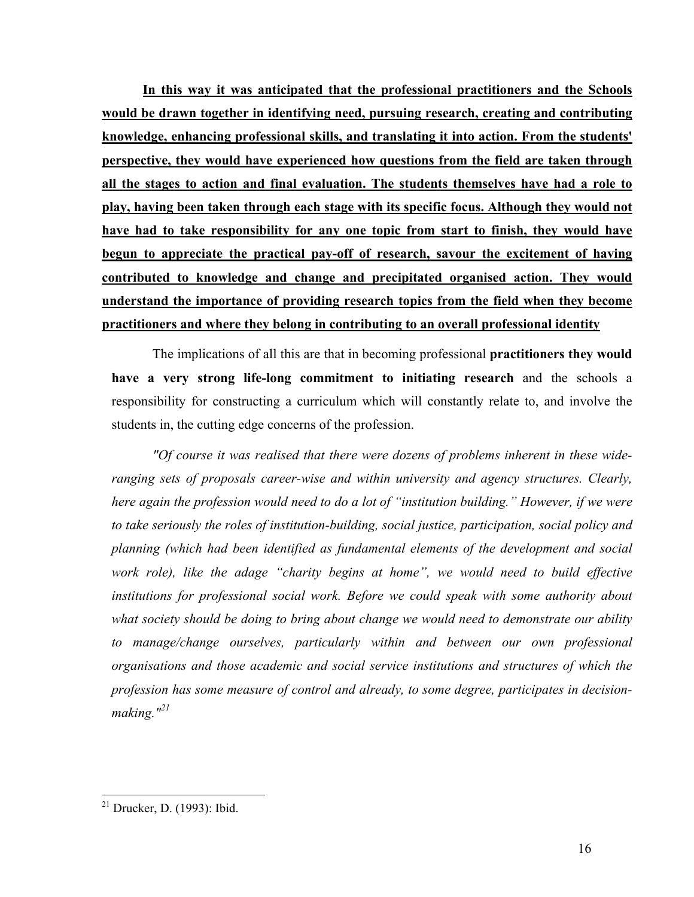**In this way it was anticipated that the professional practitioners and the Schools would be drawn together in identifying need, pursuing research, creating and contributing knowledge, enhancing professional skills, and translating it into action. From the students' perspective, they would have experienced how questions from the field are taken through all the stages to action and final evaluation. The students themselves have had a role to play, having been taken through each stage with its specific focus. Although they would not have had to take responsibility for any one topic from start to finish, they would have begun to appreciate the practical pay-off of research, savour the excitement of having contributed to knowledge and change and precipitated organised action. They would understand the importance of providing research topics from the field when they become practitioners and where they belong in contributing to an overall professional identity**

The implications of all this are that in becoming professional **practitioners they would have a very strong life-long commitment to initiating research** and the schools a responsibility for constructing a curriculum which will constantly relate to, and involve the students in, the cutting edge concerns of the profession.

*"Of course it was realised that there were dozens of problems inherent in these wideranging sets of proposals career-wise and within university and agency structures. Clearly, here again the profession would need to do a lot of "institution building." However, if we were to take seriously the roles of institution-building, social justice, participation, social policy and planning (which had been identified as fundamental elements of the development and social*  work role), like the adage "charity begins at home", we would need to build effective *institutions for professional social work. Before we could speak with some authority about what society should be doing to bring about change we would need to demonstrate our ability to manage/change ourselves, particularly within and between our own professional organisations and those academic and social service institutions and structures of which the profession has some measure of control and already, to some degree, participates in decisionmaking."[21](#page-15-0)* 

<span id="page-15-0"></span> $21$  Drucker, D. (1993): Ibid.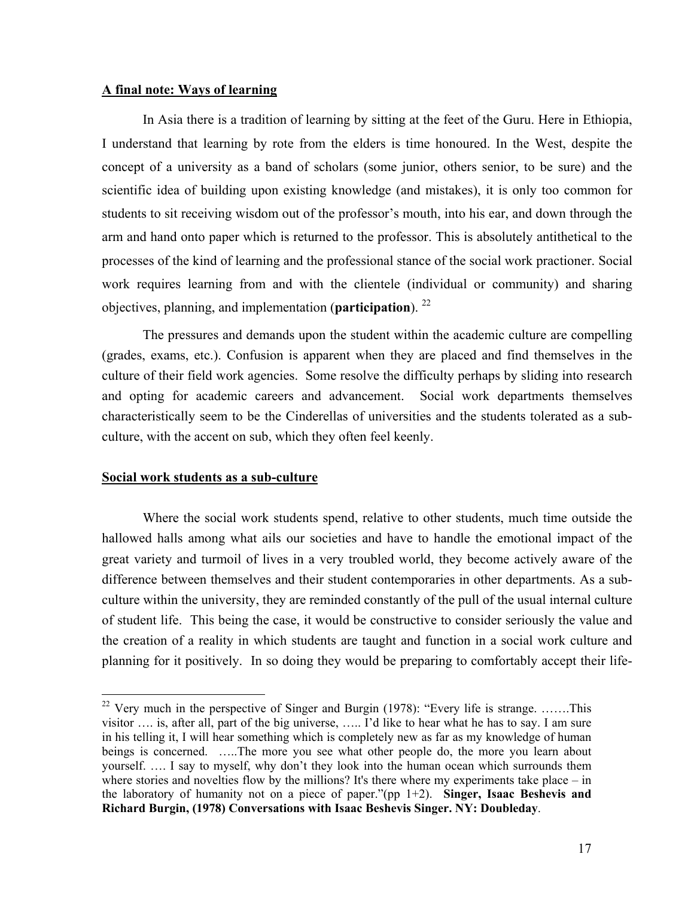## **A final note: Ways of learning**

In Asia there is a tradition of learning by sitting at the feet of the Guru. Here in Ethiopia, I understand that learning by rote from the elders is time honoured. In the West, despite the concept of a university as a band of scholars (some junior, others senior, to be sure) and the scientific idea of building upon existing knowledge (and mistakes), it is only too common for students to sit receiving wisdom out of the professor's mouth, into his ear, and down through the arm and hand onto paper which is returned to the professor. This is absolutely antithetical to the processes of the kind of learning and the professional stance of the social work practioner. Social work requires learning from and with the clientele (individual or community) and sharing objectives, planning, and implementation (**participation**). [22](#page-16-0)

The pressures and demands upon the student within the academic culture are compelling (grades, exams, etc.). Confusion is apparent when they are placed and find themselves in the culture of their field work agencies. Some resolve the difficulty perhaps by sliding into research and opting for academic careers and advancement. Social work departments themselves characteristically seem to be the Cinderellas of universities and the students tolerated as a subculture, with the accent on sub, which they often feel keenly.

## **Social work students as a sub-culture**

 $\overline{a}$ 

Where the social work students spend, relative to other students, much time outside the hallowed halls among what ails our societies and have to handle the emotional impact of the great variety and turmoil of lives in a very troubled world, they become actively aware of the difference between themselves and their student contemporaries in other departments. As a subculture within the university, they are reminded constantly of the pull of the usual internal culture of student life. This being the case, it would be constructive to consider seriously the value and the creation of a reality in which students are taught and function in a social work culture and planning for it positively. In so doing they would be preparing to comfortably accept their life-

<span id="page-16-0"></span><sup>&</sup>lt;sup>22</sup> Very much in the perspective of Singer and Burgin (1978): "Every life is strange. .......This visitor …. is, after all, part of the big universe, ….. I'd like to hear what he has to say. I am sure in his telling it, I will hear something which is completely new as far as my knowledge of human beings is concerned. …..The more you see what other people do, the more you learn about yourself. …. I say to myself, why don't they look into the human ocean which surrounds them where stories and novelties flow by the millions? It's there where my experiments take place – in the laboratory of humanity not on a piece of paper."(pp 1+2). **Singer, Isaac Beshevis and Richard Burgin, (1978) Conversations with Isaac Beshevis Singer. NY: Doubleday**.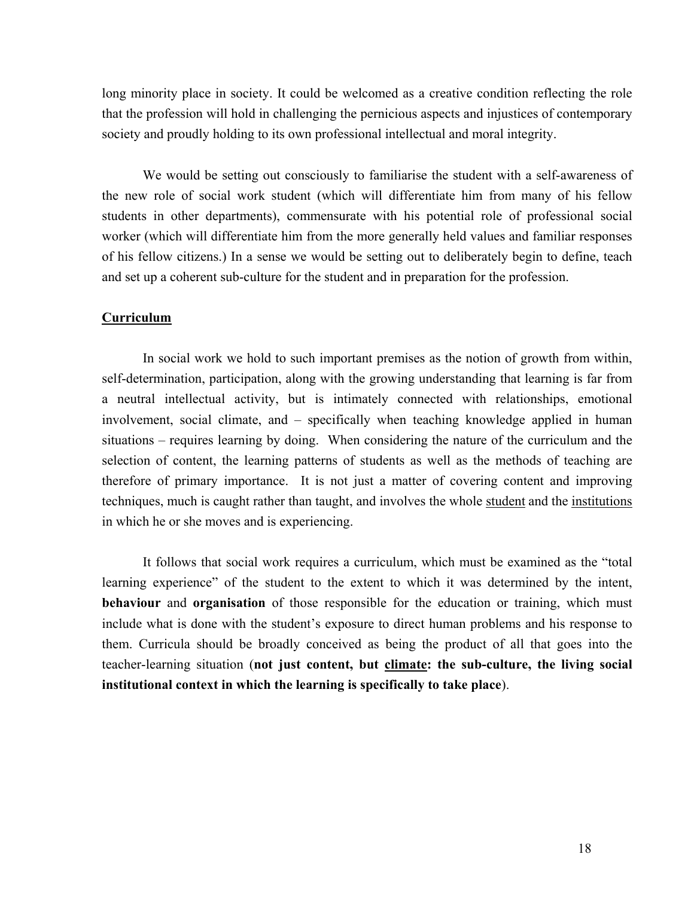long minority place in society. It could be welcomed as a creative condition reflecting the role that the profession will hold in challenging the pernicious aspects and injustices of contemporary society and proudly holding to its own professional intellectual and moral integrity.

We would be setting out consciously to familiarise the student with a self-awareness of the new role of social work student (which will differentiate him from many of his fellow students in other departments), commensurate with his potential role of professional social worker (which will differentiate him from the more generally held values and familiar responses of his fellow citizens.) In a sense we would be setting out to deliberately begin to define, teach and set up a coherent sub-culture for the student and in preparation for the profession.

# **Curriculum**

In social work we hold to such important premises as the notion of growth from within, self-determination, participation, along with the growing understanding that learning is far from a neutral intellectual activity, but is intimately connected with relationships, emotional involvement, social climate, and – specifically when teaching knowledge applied in human situations – requires learning by doing. When considering the nature of the curriculum and the selection of content, the learning patterns of students as well as the methods of teaching are therefore of primary importance. It is not just a matter of covering content and improving techniques, much is caught rather than taught, and involves the whole student and the institutions in which he or she moves and is experiencing.

It follows that social work requires a curriculum, which must be examined as the "total learning experience" of the student to the extent to which it was determined by the intent, **behaviour** and **organisation** of those responsible for the education or training, which must include what is done with the student's exposure to direct human problems and his response to them. Curricula should be broadly conceived as being the product of all that goes into the teacher-learning situation (**not just content, but climate: the sub-culture, the living social institutional context in which the learning is specifically to take place**).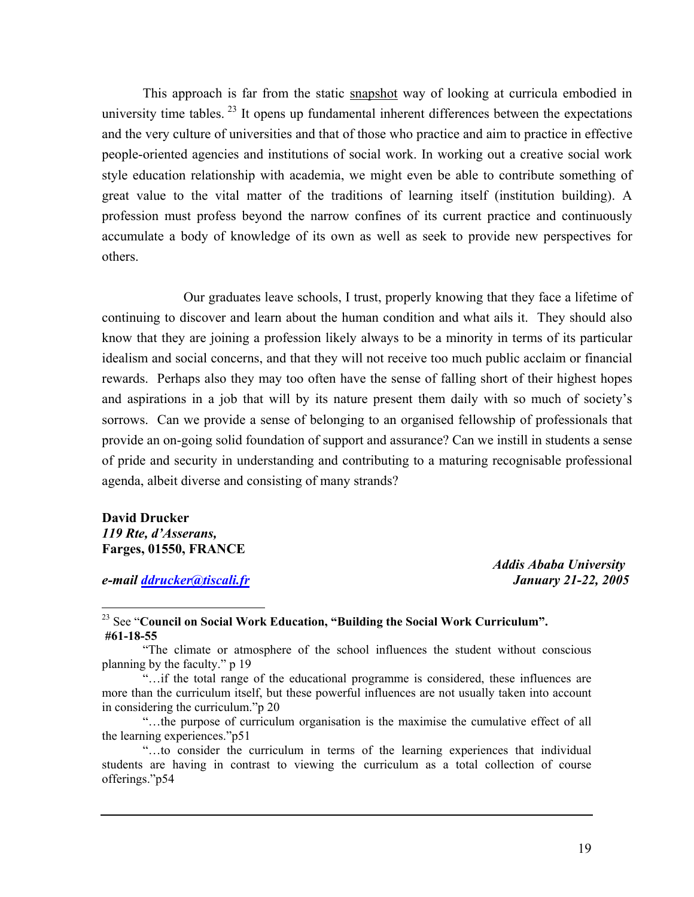This approach is far from the static snapshot way of looking at curricula embodied in university time tables.  $^{23}$  It opens up fundamental inherent differences between the expectations and the very culture of universities and that of those who practice and aim to practice in effective people-oriented agencies and institutions of social work. In working out a creative social work style education relationship with academia, we might even be able to contribute something of great value to the vital matter of the traditions of learning itself (institution building). A profession must profess beyond the narrow confines of its current practice and continuously accumulate a body of knowledge of its own as well as seek to provide new perspectives for others.

Our graduates leave schools, I trust, properly knowing that they face a lifetime of continuing to discover and learn about the human condition and what ails it. They should also know that they are joining a profession likely always to be a minority in terms of its particular idealism and social concerns, and that they will not receive too much public acclaim or financial rewards. Perhaps also they may too often have the sense of falling short of their highest hopes and aspirations in a job that will by its nature present them daily with so much of society's sorrows. Can we provide a sense of belonging to an organised fellowship of professionals that provide an on-going solid foundation of support and assurance? Can we instill in students a sense of pride and security in understanding and contributing to a maturing recognisable professional agenda, albeit diverse and consisting of many strands?

# **David Drucker**  *119 Rte, d'Asserans,*  **Farges, 01550, FRANCE**

*e-mail [ddrucker@tiscali.fr](mailto:ddrucker@tiscali.fr) January 21-22, 2005* 

 $\overline{a}$ 

 *Addis Ababa University* 

<span id="page-18-0"></span>23 See "**Council on Social Work Education, "Building the Social Work Curriculum". #61-18-55** 

"The climate or atmosphere of the school influences the student without conscious planning by the faculty." p 19

"…the purpose of curriculum organisation is the maximise the cumulative effect of all the learning experiences."p51

<sup>&</sup>quot;…if the total range of the educational programme is considered, these influences are more than the curriculum itself, but these powerful influences are not usually taken into account in considering the curriculum."p 20

<sup>&</sup>quot;…to consider the curriculum in terms of the learning experiences that individual students are having in contrast to viewing the curriculum as a total collection of course offerings."p54